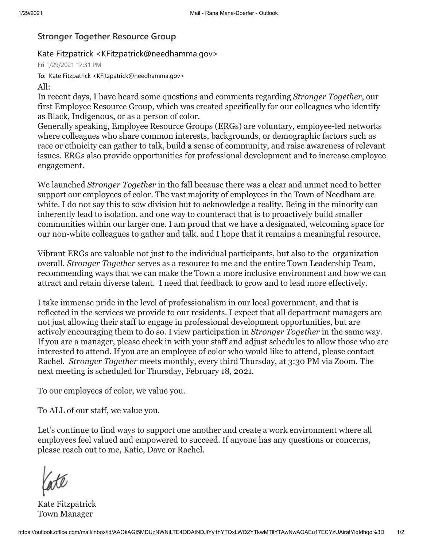## **Stronger Together Resource Group**

## Kate Fitzpatrick <KFitzpatrick@needhamma.gov>

Fri 1/29/2021 12:31 PM

**To:** Kate Fitzpatrick <KFitzpatrick@needhamma.gov>

## All:

In recent days, I have heard some questions and comments regarding *Stronger Together*, our first Employee Resource Group, which was created specifically for our colleagues who identify as Black, Indigenous, or as a person of color.

Generally speaking, Employee Resource Groups (ERGs) are voluntary, employee-led networks where colleagues who share common interests, backgrounds, or demographic factors such as race or ethnicity can gather to talk, build a sense of community, and raise awareness of relevant issues. ERGs also provide opportunities for professional development and to increase employee engagement.

We launched *Stronger Together* in the fall because there was a clear and unmet need to better support our employees of color. The vast majority of employees in the Town of Needham are white. I do not say this to sow division but to acknowledge a reality. Being in the minority can inherently lead to isolation, and one way to counteract that is to proactively build smaller communities within our larger one. I am proud that we have a designated, welcoming space for our non-white colleagues to gather and talk, and I hope that it remains a meaningful resource.

Vibrant ERGs are valuable not just to the individual participants, but also to the organization overall. *Stronger Together* serves as a resource to me and the entire Town Leadership Team, recommending ways that we can make the Town a more inclusive environment and how we can attract and retain diverse talent. I need that feedback to grow and to lead more effectively.

I take immense pride in the level of professionalism in our local government, and that is reflected in the services we provide to our residents. I expect that all department managers are not just allowing their staff to engage in professional development opportunities, but are actively encouraging them to do so. I view participation in *Stronger Together* in the same way. If you are a manager, please check in with your staff and adjust schedules to allow those who are interested to attend. If you are an employee of color who would like to attend, please contact Rachel. *Stronger Together* meets monthly, every third Thursday, at 3:30 PM via Zoom. The next meeting is scheduled for Thursday, February 18, 2021.

To our employees of color, we value you.

To ALL of our staff, we value you.

Let's continue to find ways to support one another and create a work environment where all employees feel valued and empowered to succeed. If anyone has any questions or concerns, please reach out to me, Katie, Dave or Rachel.

Kate Fitzpatrick Town Manager